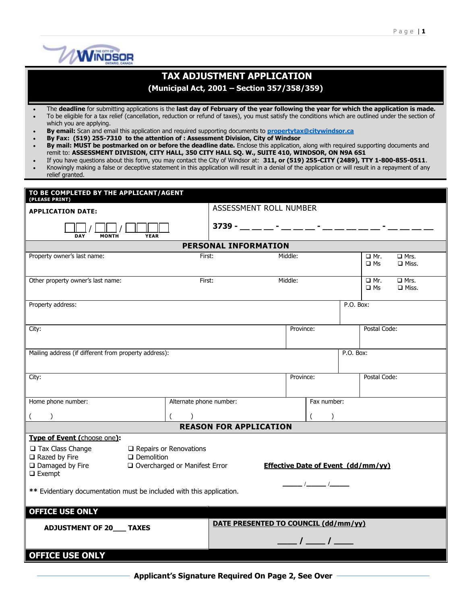

## **TAX ADJUSTMENT APPLICATION**

**(Municipal Act, 2001 – Section 357/358/359)**

- The **deadline** for submitting applications is the **last day of February of the year following the year for which the application is made.**
- To be eligible for a tax relief (cancellation, reduction or refund of taxes), you must satisfy the conditions which are outlined under the section of which you are applying.
- **By email:** Scan and email this application and required supporting documents to **[propertytax@citywindsor.ca](mailto:propertytax@citywindsor.ca)**
- **By Fax: (519) 255-7310 to the attention of : Assessment Division, City of Windsor**
- **By mail: MUST be postmarked on or before the deadline date.** Enclose this application, along with required supporting documents and remit to: **ASSESSMENT DIVISION, CITY HALL, 350 CITY HALL SQ. W., SUITE 410, WINDSOR, ON N9A 6S1**
- If you have questions about this form, you may contact the City of Windsor at: **311, or (519) 255-CITY (2489), TTY 1-800-855-0511**. Knowingly making a false or deceptive statement in this application will result in a denial of the application or will result in a repayment of any
- relief granted.

| TO BE COMPLETED BY THE APPLICANT/AGENT<br>(PLEASE PRINT)                                                                                                                                                                            |                         |                                         |                                                           |  |  |  |  |
|-------------------------------------------------------------------------------------------------------------------------------------------------------------------------------------------------------------------------------------|-------------------------|-----------------------------------------|-----------------------------------------------------------|--|--|--|--|
| <b>APPLICATION DATE:</b>                                                                                                                                                                                                            | ASSESSMENT ROLL NUMBER  |                                         |                                                           |  |  |  |  |
| <b>DAY</b><br><b>MONTH</b><br><b>YEAR</b>                                                                                                                                                                                           |                         | 3739 - __ __ - __ __ - __ - __ __ __ __ |                                                           |  |  |  |  |
| <b>PERSONAL INFORMATION</b>                                                                                                                                                                                                         |                         |                                         |                                                           |  |  |  |  |
| Property owner's last name:                                                                                                                                                                                                         | First:                  | Middle:                                 | □ Mr.<br>$\Box$ Mrs.<br>$\square$ Ms<br>$\square$ Miss.   |  |  |  |  |
| Other property owner's last name:                                                                                                                                                                                                   | First:<br>Middle:       |                                         | $\Box$ Mrs.<br>$\Box$ Mr.<br>$\square$ Ms<br>$\Box$ Miss. |  |  |  |  |
| Property address:                                                                                                                                                                                                                   |                         |                                         | P.O. Box:                                                 |  |  |  |  |
| City:                                                                                                                                                                                                                               |                         | Province:                               | Postal Code:                                              |  |  |  |  |
| Mailing address (if different from property address):<br>P.O. Box:                                                                                                                                                                  |                         |                                         |                                                           |  |  |  |  |
| City:                                                                                                                                                                                                                               |                         | Province:                               | Postal Code:                                              |  |  |  |  |
| Home phone number:                                                                                                                                                                                                                  | Alternate phone number: | Fax number:                             |                                                           |  |  |  |  |
| $($ $)$<br>$\lambda$<br>$\left($<br>$\lambda$<br><b>REASON FOR APPLICATION</b>                                                                                                                                                      |                         |                                         |                                                           |  |  |  |  |
| Type of Event (choose one):                                                                                                                                                                                                         |                         |                                         |                                                           |  |  |  |  |
| $\Box$ Tax Class Change<br>$\Box$ Repairs or Renovations<br>$\Box$ Razed by Fire<br>$\square$ Demolition<br>□ Overcharged or Manifest Error<br>$\Box$ Damaged by Fire<br><b>Effective Date of Event (dd/mm/yy)</b><br>$\Box$ Exempt |                         |                                         |                                                           |  |  |  |  |
| __ /______ /___<br>** Evidentiary documentation must be included with this application.                                                                                                                                             |                         |                                         |                                                           |  |  |  |  |
| <b>OFFICE USE ONLY</b>                                                                                                                                                                                                              |                         |                                         |                                                           |  |  |  |  |
| DATE PRESENTED TO COUNCIL (dd/mm/yy)<br><b>ADJUSTMENT OF 20___ TAXES</b>                                                                                                                                                            |                         |                                         |                                                           |  |  |  |  |
| $\frac{1}{\sqrt{2}}$                                                                                                                                                                                                                |                         |                                         |                                                           |  |  |  |  |
| <b>OFFICE USE ONLY</b>                                                                                                                                                                                                              |                         |                                         |                                                           |  |  |  |  |

**Applicant's Signature Required On Page 2, See Over**